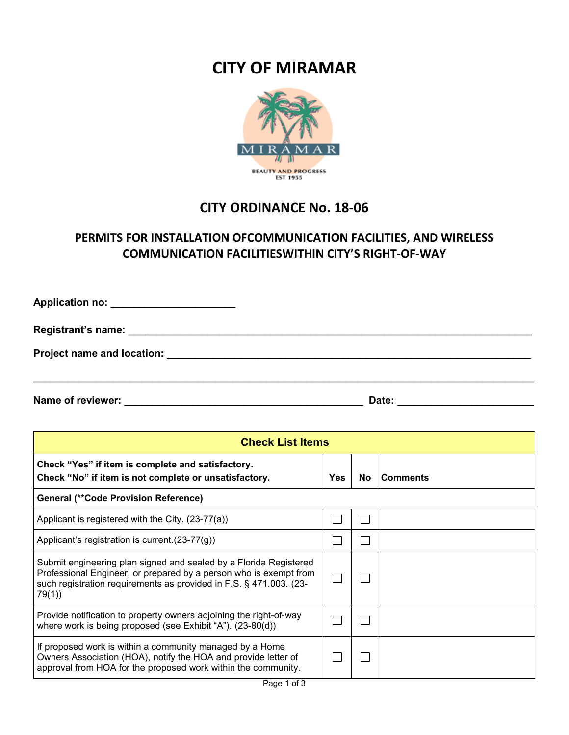## **CITY OF MIRAMAR**



## **CITY ORDINANCE No. 18-06**

## **PERMITS FOR INSTALLATION OFCOMMUNICATION FACILITIES, AND WIRELESS COMMUNICATION FACILITIESWITHIN CITY'S RIGHT-OF-WAY**

| Application no: _______________________ |  |  |
|-----------------------------------------|--|--|
|                                         |  |  |
| Project name and location:              |  |  |
|                                         |  |  |

**Date: Name of reviewer:** \_\_\_\_\_\_\_\_\_\_\_\_\_\_\_\_\_\_\_\_\_\_\_\_\_\_\_\_\_\_\_\_\_\_\_\_\_\_\_\_\_\_ \_\_\_\_\_\_\_\_\_\_\_\_\_\_\_\_\_\_\_\_\_\_\_\_

| <b>Check List Items</b>                                                                                                                                                                                               |     |     |                 |  |  |  |
|-----------------------------------------------------------------------------------------------------------------------------------------------------------------------------------------------------------------------|-----|-----|-----------------|--|--|--|
| Check "Yes" if item is complete and satisfactory.<br>Check "No" if item is not complete or unsatisfactory.                                                                                                            | Yes | No. | <b>Comments</b> |  |  |  |
| <b>General (**Code Provision Reference)</b>                                                                                                                                                                           |     |     |                 |  |  |  |
| Applicant is registered with the City. (23-77(a))                                                                                                                                                                     |     |     |                 |  |  |  |
| Applicant's registration is current. $(23-77(g))$                                                                                                                                                                     |     |     |                 |  |  |  |
| Submit engineering plan signed and sealed by a Florida Registered<br>Professional Engineer, or prepared by a person who is exempt from<br>such registration requirements as provided in F.S. § 471.003. (23-<br>79(1) |     |     |                 |  |  |  |
| Provide notification to property owners adjoining the right-of-way<br>where work is being proposed (see Exhibit "A"). (23-80(d))                                                                                      |     |     |                 |  |  |  |
| If proposed work is within a community managed by a Home<br>Owners Association (HOA), notify the HOA and provide letter of<br>approval from HOA for the proposed work within the community.                           |     |     |                 |  |  |  |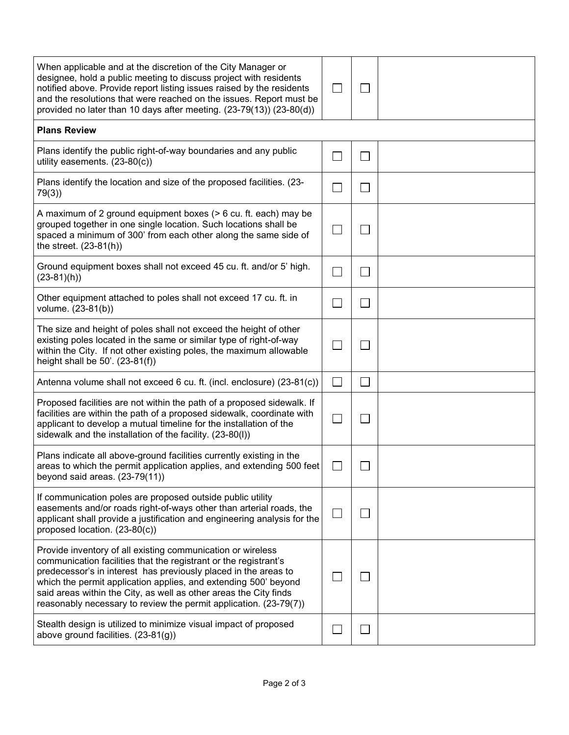| When applicable and at the discretion of the City Manager or<br>designee, hold a public meeting to discuss project with residents<br>notified above. Provide report listing issues raised by the residents<br>and the resolutions that were reached on the issues. Report must be<br>provided no later than 10 days after meeting. (23-79(13)) (23-80(d))                                                       |  |  |
|-----------------------------------------------------------------------------------------------------------------------------------------------------------------------------------------------------------------------------------------------------------------------------------------------------------------------------------------------------------------------------------------------------------------|--|--|
| <b>Plans Review</b>                                                                                                                                                                                                                                                                                                                                                                                             |  |  |
| Plans identify the public right-of-way boundaries and any public<br>utility easements. $(23-80(c))$                                                                                                                                                                                                                                                                                                             |  |  |
| Plans identify the location and size of the proposed facilities. (23-<br>79(3)                                                                                                                                                                                                                                                                                                                                  |  |  |
| A maximum of 2 ground equipment boxes (> 6 cu. ft. each) may be<br>grouped together in one single location. Such locations shall be<br>spaced a minimum of 300' from each other along the same side of<br>the street. $(23-81(h))$                                                                                                                                                                              |  |  |
| Ground equipment boxes shall not exceed 45 cu. ft. and/or 5' high.<br>$(23-81)(h))$                                                                                                                                                                                                                                                                                                                             |  |  |
| Other equipment attached to poles shall not exceed 17 cu. ft. in<br>volume. (23-81(b))                                                                                                                                                                                                                                                                                                                          |  |  |
| The size and height of poles shall not exceed the height of other<br>existing poles located in the same or similar type of right-of-way<br>within the City. If not other existing poles, the maximum allowable<br>height shall be 50'. (23-81(f))                                                                                                                                                               |  |  |
| Antenna volume shall not exceed 6 cu. ft. (incl. enclosure) (23-81(c))                                                                                                                                                                                                                                                                                                                                          |  |  |
| Proposed facilities are not within the path of a proposed sidewalk. If<br>facilities are within the path of a proposed sidewalk, coordinate with<br>applicant to develop a mutual timeline for the installation of the<br>sidewalk and the installation of the facility. (23-80(I))                                                                                                                             |  |  |
| Plans indicate all above-ground facilities currently existing in the<br>areas to which the permit application applies, and extending 500 feet<br>beyond said areas. $(23-79(11))$                                                                                                                                                                                                                               |  |  |
| If communication poles are proposed outside public utility<br>easements and/or roads right-of-ways other than arterial roads, the<br>applicant shall provide a justification and engineering analysis for the<br>proposed location. (23-80(c))                                                                                                                                                                  |  |  |
| Provide inventory of all existing communication or wireless<br>communication facilities that the registrant or the registrant's<br>predecessor's in interest has previously placed in the areas to<br>which the permit application applies, and extending 500' beyond<br>said areas within the City, as well as other areas the City finds<br>reasonably necessary to review the permit application. (23-79(7)) |  |  |
| Stealth design is utilized to minimize visual impact of proposed<br>above ground facilities. (23-81(g))                                                                                                                                                                                                                                                                                                         |  |  |